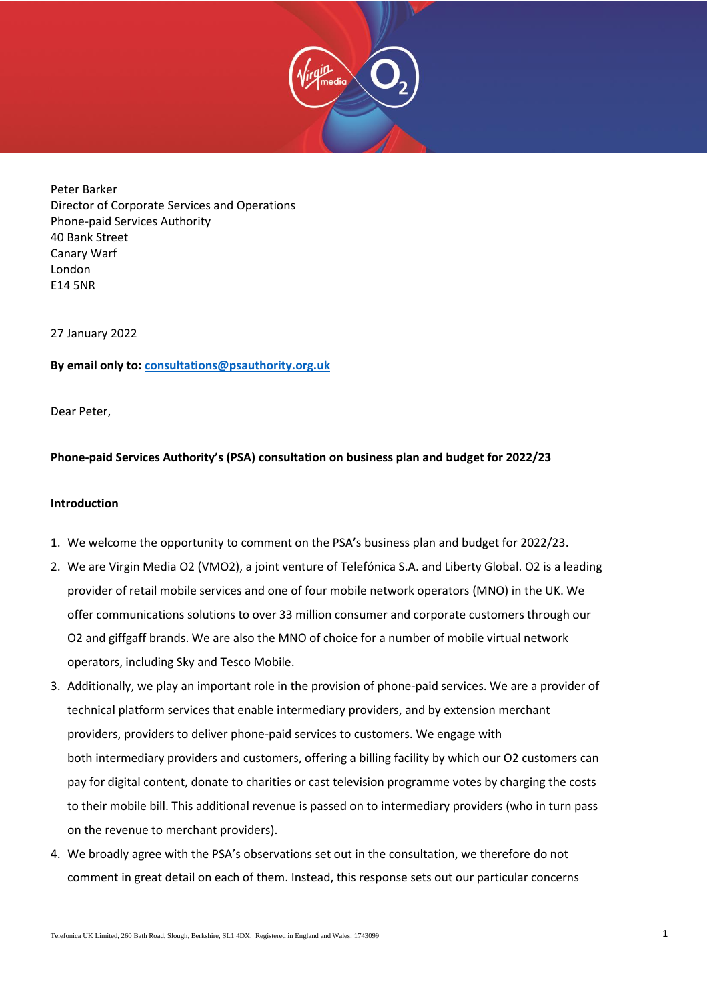

Peter Barker Director of Corporate Services and Operations Phone-paid Services Authority 40 Bank Street Canary Warf London E14 5NR

27 January 2022

## **By email only to: [consultations@psauthority.org.uk](mailto:consultations@psauthority.org.uk)**

Dear Peter,

# **Phone-paid Services Authority's (PSA) consultation on business plan and budget for 2022/23**

### **Introduction**

- 1. We welcome the opportunity to comment on the PSA's business plan and budget for 2022/23.
- 2. We are Virgin Media O2 (VMO2), a joint venture of Telefónica S.A. and Liberty Global. O2 is a leading provider of retail mobile services and one of four mobile network operators (MNO) in the UK. We offer communications solutions to over 33 million consumer and corporate customers through our O2 and giffgaff brands. We are also the MNO of choice for a number of mobile virtual network operators, including Sky and Tesco Mobile.
- 3. Additionally, we play an important role in the provision of phone-paid services. We are a provider of technical platform services that enable intermediary providers, and by extension merchant providers, providers to deliver phone-paid services to customers. We engage with both intermediary providers and customers, offering a billing facility by which our O2 customers can pay for digital content, donate to charities or cast television programme votes by charging the costs to their mobile bill. This additional revenue is passed on to intermediary providers (who in turn pass on the revenue to merchant providers).
- 4. We broadly agree with the PSA's observations set out in the consultation, we therefore do not comment in great detail on each of them. Instead, this response sets out our particular concerns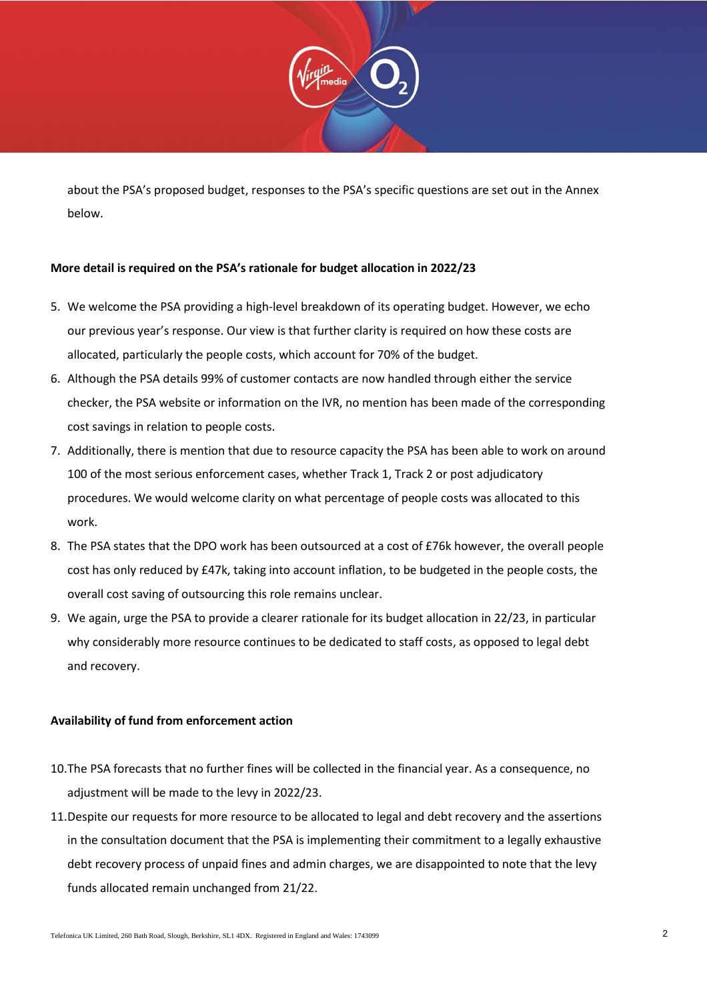

about the PSA's proposed budget, responses to the PSA's specific questions are set out in the Annex below.

# **More detail is required on the PSA's rationale for budget allocation in 2022/23**

- 5. We welcome the PSA providing a high-level breakdown of its operating budget. However, we echo our previous year's response. Our view is that further clarity is required on how these costs are allocated, particularly the people costs, which account for 70% of the budget.
- 6. Although the PSA details 99% of customer contacts are now handled through either the service checker, the PSA website or information on the IVR, no mention has been made of the corresponding cost savings in relation to people costs.
- 7. Additionally, there is mention that due to resource capacity the PSA has been able to work on around 100 of the most serious enforcement cases, whether Track 1, Track 2 or post adjudicatory procedures. We would welcome clarity on what percentage of people costs was allocated to this work.
- 8. The PSA states that the DPO work has been outsourced at a cost of £76k however, the overall people cost has only reduced by £47k, taking into account inflation, to be budgeted in the people costs, the overall cost saving of outsourcing this role remains unclear.
- 9. We again, urge the PSA to provide a clearer rationale for its budget allocation in 22/23, in particular why considerably more resource continues to be dedicated to staff costs, as opposed to legal debt and recovery.

## **Availability of fund from enforcement action**

- 10.The PSA forecasts that no further fines will be collected in the financial year. As a consequence, no adjustment will be made to the levy in 2022/23.
- 11.Despite our requests for more resource to be allocated to legal and debt recovery and the assertions in the consultation document that the PSA is implementing their commitment to a legally exhaustive debt recovery process of unpaid fines and admin charges, we are disappointed to note that the levy funds allocated remain unchanged from 21/22.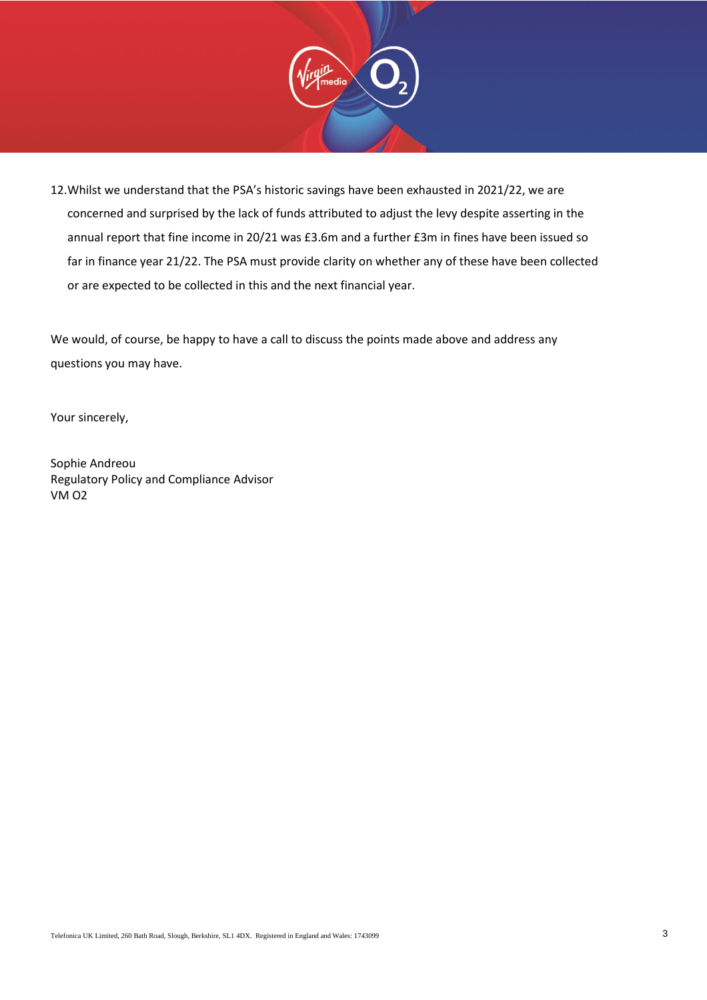

12.Whilst we understand that the PSA's historic savings have been exhausted in 2021/22, we are concerned and surprised by the lack of funds attributed to adjust the levy despite asserting in the annual report that fine income in 20/21 was £3.6m and a further £3m in fines have been issued so far in finance year 21/22. The PSA must provide clarity on whether any of these have been collected or are expected to be collected in this and the next financial year.

We would, of course, be happy to have a call to discuss the points made above and address any questions you may have.

Your sincerely,

Sophie Andreou Regulatory Policy and Compliance Advisor VM O2